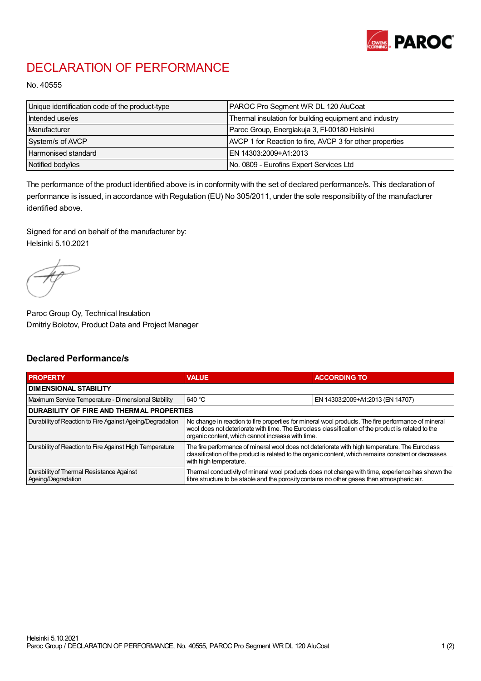

## DECLARATION OF PERFORMANCE

No. 40555

| Unique identification code of the product-type | PAROC Pro Segment WR DL 120 AluCoat                      |
|------------------------------------------------|----------------------------------------------------------|
| Intended use/es                                | Thermal insulation for building equipment and industry   |
| Manufacturer                                   | Paroc Group, Energiakuja 3, FI-00180 Helsinki            |
| System/s of AVCP                               | AVCP 1 for Reaction to fire, AVCP 3 for other properties |
| Harmonised standard                            | EN 14303:2009+A1:2013                                    |
| Notified body/ies                              | No. 0809 - Eurofins Expert Services Ltd                  |

The performance of the product identified above is in conformity with the set of declared performance/s. This declaration of performance is issued, in accordance with Regulation (EU) No 305/2011, under the sole responsibility of the manufacturer identified above.

Signed for and on behalf of the manufacturer by: Helsinki 5.10.2021

Paroc Group Oy, Technical Insulation Dmitriy Bolotov, Product Data and Project Manager

## Declared Performance/s

| <b>PROPERTY</b>                                                | <b>VALUE</b>                                                                                                                                                                                                                                                   | <b>ACCORDING TO.</b>             |  |
|----------------------------------------------------------------|----------------------------------------------------------------------------------------------------------------------------------------------------------------------------------------------------------------------------------------------------------------|----------------------------------|--|
| <b>DIMENSIONAL STABILITY</b>                                   |                                                                                                                                                                                                                                                                |                                  |  |
| Maximum Service Temperature - Dimensional Stability            | 640 °C                                                                                                                                                                                                                                                         | EN 14303:2009+A1:2013 (EN 14707) |  |
| <b>DURABILITY OF FIRE AND THERMAL PROPERTIES</b>               |                                                                                                                                                                                                                                                                |                                  |  |
| Durability of Reaction to Fire Against Ageing/Degradation      | No change in reaction to fire properties for mineral wool products. The fire performance of mineral<br>wool does not deteriorate with time. The Euroclass classification of the product is related to the<br>organic content, which cannot increase with time. |                                  |  |
| Durability of Reaction to Fire Against High Temperature        | The fire performance of mineral wool does not deteriorate with high temperature. The Euroclass<br>classification of the product is related to the organic content, which remains constant or decreases<br>with high temperature.                               |                                  |  |
| Durability of Thermal Resistance Against<br>Ageing/Degradation | Thermal conductivity of mineral wool products does not change with time, experience has shown the<br>fibre structure to be stable and the porosity contains no other gases than atmospheric air.                                                               |                                  |  |